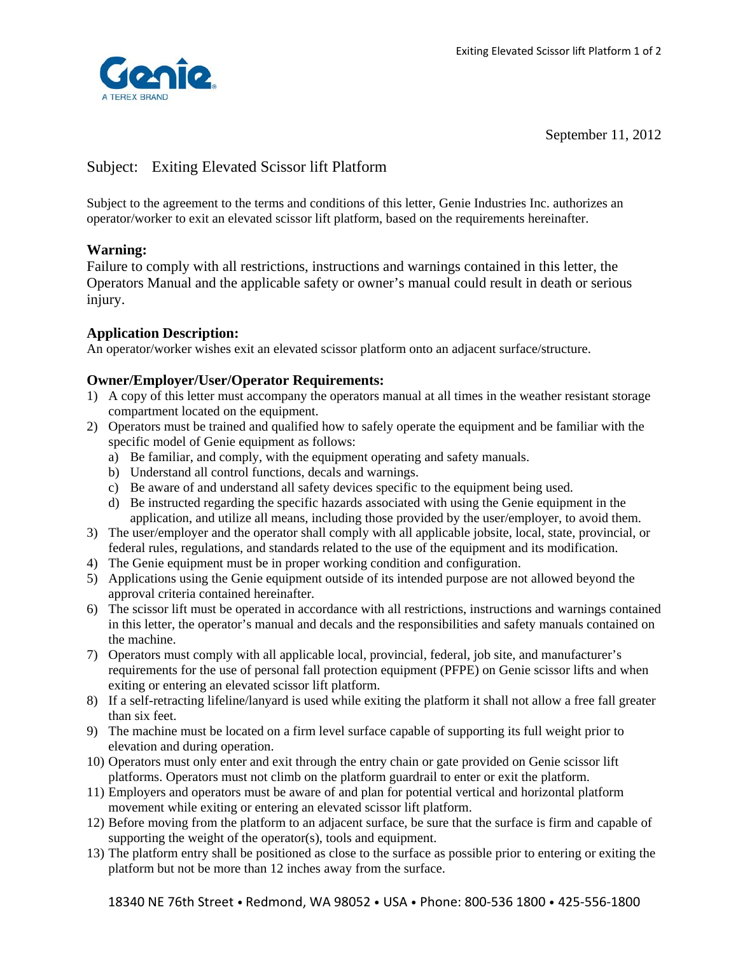

September 11, 2012

# Subject: Exiting Elevated Scissor lift Platform

Subject to the agreement to the terms and conditions of this letter, Genie Industries Inc. authorizes an operator/worker to exit an elevated scissor lift platform, based on the requirements hereinafter.

# **Warning:**

Failure to comply with all restrictions, instructions and warnings contained in this letter, the Operators Manual and the applicable safety or owner's manual could result in death or serious injury.

# **Application Description:**

An operator/worker wishes exit an elevated scissor platform onto an adjacent surface/structure.

## **Owner/Employer/User/Operator Requirements:**

- 1) A copy of this letter must accompany the operators manual at all times in the weather resistant storage compartment located on the equipment.
- 2) Operators must be trained and qualified how to safely operate the equipment and be familiar with the specific model of Genie equipment as follows:
	- a) Be familiar, and comply, with the equipment operating and safety manuals.
	- b) Understand all control functions, decals and warnings.
	- c) Be aware of and understand all safety devices specific to the equipment being used.
	- d) Be instructed regarding the specific hazards associated with using the Genie equipment in the application, and utilize all means, including those provided by the user/employer, to avoid them.
- 3) The user/employer and the operator shall comply with all applicable jobsite, local, state, provincial, or federal rules, regulations, and standards related to the use of the equipment and its modification.
- 4) The Genie equipment must be in proper working condition and configuration.
- 5) Applications using the Genie equipment outside of its intended purpose are not allowed beyond the approval criteria contained hereinafter.
- 6) The scissor lift must be operated in accordance with all restrictions, instructions and warnings contained in this letter, the operator's manual and decals and the responsibilities and safety manuals contained on the machine.
- 7) Operators must comply with all applicable local, provincial, federal, job site, and manufacturer's requirements for the use of personal fall protection equipment (PFPE) on Genie scissor lifts and when exiting or entering an elevated scissor lift platform.
- 8) If a self-retracting lifeline/lanyard is used while exiting the platform it shall not allow a free fall greater than six feet.
- 9) The machine must be located on a firm level surface capable of supporting its full weight prior to elevation and during operation.
- 10) Operators must only enter and exit through the entry chain or gate provided on Genie scissor lift platforms. Operators must not climb on the platform guardrail to enter or exit the platform.
- 11) Employers and operators must be aware of and plan for potential vertical and horizontal platform movement while exiting or entering an elevated scissor lift platform.
- 12) Before moving from the platform to an adjacent surface, be sure that the surface is firm and capable of supporting the weight of the operator(s), tools and equipment.
- 13) The platform entry shall be positioned as close to the surface as possible prior to entering or exiting the platform but not be more than 12 inches away from the surface.